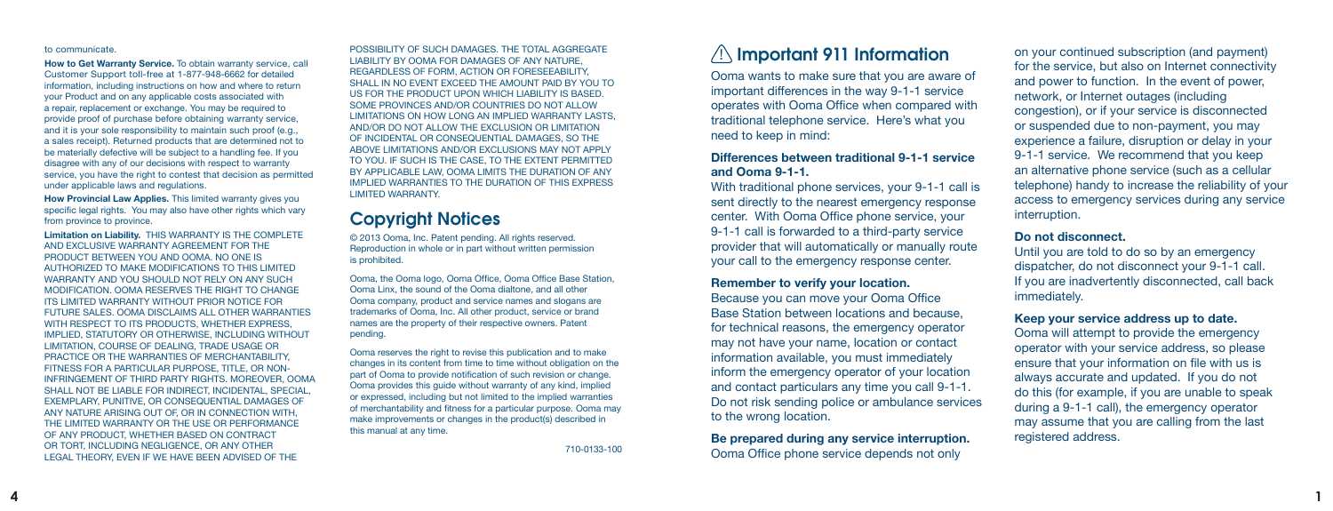#### to communicate.

**How to Get Warranty Service.** To obtain warranty service, call Customer Support toll-free at 1-877-948-6662 for detailed information, including instructions on how and where to return your Product and on any applicable costs associated with a repair, replacement or exchange. You may be required to provide proof of purchase before obtaining warranty service, and it is your sole responsibility to maintain such proof (e.g., a sales receipt). Returned products that are determined not to be materially defective will be subject to a handling fee. If you disagree with any of our decisions with respect to warranty service, you have the right to contest that decision as permitted under applicable laws and regulations.

**How Provincial Law Applies.** This limited warranty gives you specific legal rights. You may also have other rights which vary from province to province.

**Limitation on Liability.** THIS WARRANTY IS THE COMPLETE AND EXCLUSIVE WARRANTY AGREEMENT FOR THE PRODUCT BETWEEN YOU AND OOMA. NO ONE IS AUTHORIZED TO MAKE MODIFICATIONS TO THIS LIMITED WARRANTY AND YOU SHOULD NOT RELY ON ANY SUCH MODIFICATION. OOMA RESERVES THE RIGHT TO CHANGE ITS LIMITED WARRANTY WITHOUT PRIOR NOTICE FOR FUTURE SALES. OOMA DISCLAIMS ALL OTHER WARRANTIES WITH RESPECT TO ITS PRODUCTS, WHETHER EXPRESS, IMPLIED, STATUTORY OR OTHERWISE, INCLUDING WITHOUT LIMITATION, COURSE OF DEALING, TRADE USAGE OR PRACTICE OR THE WARRANTIES OF MERCHANTABILITY, FITNESS FOR A PARTICULAR PURPOSE, TITLE, OR NON-INFRINGEMENT OF THIRD PARTY RIGHTS. MOREOVER, OOMA SHALL NOT BE LIABLE FOR INDIRECT, INCIDENTAL, SPECIAL, EXEMPLARY, PUNITIVE, OR CONSEQUENTIAL DAMAGES OF ANY NATURE ARISING OUT OF, OR IN CONNECTION WITH, THE LIMITED WARRANTY OR THE USE OR PERFORMANCE OF ANY PRODUCT, WHETHER BASED ON CONTRACT OR TORT, INCLUDING NEGLIGENCE, OR ANY OTHER LEGAL THEORY, EVEN IF WE HAVE BEEN ADVISED OF THE

POSSIBILITY OF SUCH DAMAGES. THE TOTAL AGGREGATE LIABILITY BY OOMA FOR DAMAGES OF ANY NATURE, REGARDLESS OF FORM, ACTION OR FORESEEABILITY, SHALL IN NO EVENT EXCEED THE AMOUNT PAID BY YOU TO US FOR THE PRODUCT UPON WHICH LIABILITY IS BASED. SOME PROVINCES AND/OR COUNTRIES DO NOT ALLOW LIMITATIONS ON HOW LONG AN IMPLIED WARRANTY LASTS, AND/OR DO NOT ALLOW THE EXCLUSION OR LIMITATION OF INCIDENTAL OR CONSEQUENTIAL DAMAGES, SO THE ABOVE LIMITATIONS AND/OR EXCLUSIONS MAY NOT APPLY TO YOU. IF SUCH IS THE CASE, TO THE EXTENT PERMITTED BY APPLICABLE LAW, OOMA LIMITS THE DURATION OF ANY IMPLIED WARRANTIES TO THE DURATION OF THIS EXPRESS LIMITED WARRANTY.

# Copyright Notices

© 2013 Ooma, Inc. Patent pending. All rights reserved. Reproduction in whole or in part without written permission is prohibited.

Ooma, the Ooma logo, Ooma Office, Ooma Office Base Station, Ooma Linx, the sound of the Ooma dialtone, and all other Ooma company, product and service names and slogans are trademarks of Ooma, Inc. All other product, service or brand names are the property of their respective owners. Patent pending.

Ooma reserves the right to revise this publication and to make changes in its content from time to time without obligation on the part of Ooma to provide notification of such revision or change. Ooma provides this guide without warranty of any kind, implied or expressed, including but not limited to the implied warranties of merchantability and fitness for a particular purpose. Ooma may make improvements or changes in the product(s) described in this manual at any time.

710-0133-100

# $\sqrt{1}$  Important 911 Information

Ooma wants to make sure that you are aware of important differences in the way 9-1-1 service operates with Ooma Office when compared with traditional telephone service. Here's what you need to keep in mind:

## **Differences between traditional 9-1-1 service and Ooma 9-1-1.**

With traditional phone services, your 9-1-1 call is sent directly to the nearest emergency response center. With Ooma Office phone service, your 9-1-1 call is forwarded to a third-party service provider that will automatically or manually route your call to the emergency response center.

#### **Remember to verify your location.**

Because you can move your Ooma Office Base Station between locations and because, for technical reasons, the emergency operator may not have your name, location or contact information available, you must immediately inform the emergency operator of your location and contact particulars any time you call 9-1-1. Do not risk sending police or ambulance services to the wrong location.

**Be prepared during any service interruption.** Ooma Office phone service depends not only

on your continued subscription (and payment) for the service, but also on Internet connectivity and power to function. In the event of power, network, or Internet outages (including congestion), or if your service is disconnected or suspended due to non-payment, you may experience a failure, disruption or delay in your 9-1-1 service. We recommend that you keep an alternative phone service (such as a cellular telephone) handy to increase the reliability of your access to emergency services during any service interruption.

## **Do not disconnect.**

Until you are told to do so by an emergency dispatcher, do not disconnect your 9-1-1 call. If you are inadvertently disconnected, call back immediately.

## **Keep your service address up to date.**

Ooma will attempt to provide the emergency operator with your service address, so please ensure that your information on file with us is always accurate and updated. If you do not do this (for example, if you are unable to speak during a 9-1-1 call), the emergency operator may assume that you are calling from the last registered address.